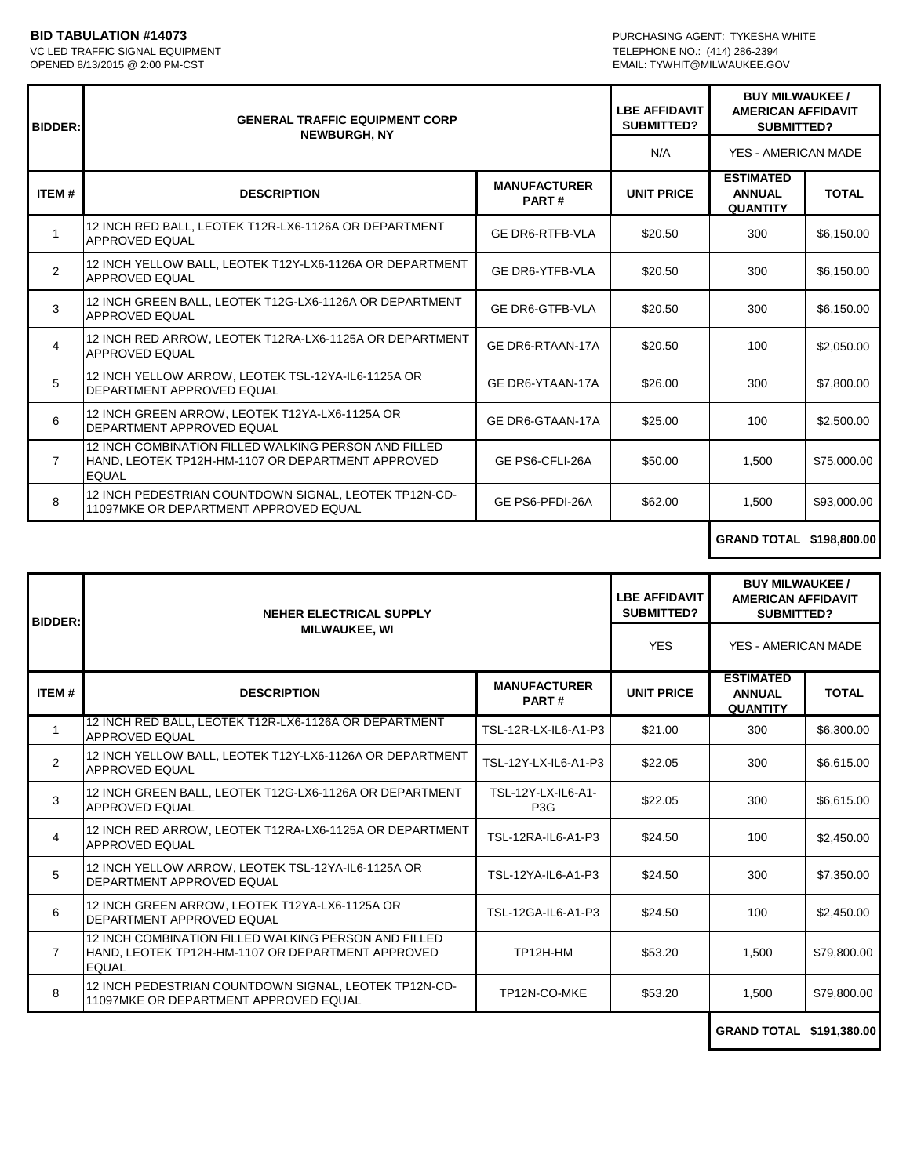VC LED TRAFFIC SIGNAL EQUIPMENT<br>OPENED 8/13/2015 @ 2:00 PM-CST

**BID TABULATION #14073**<br>
VC LED TRAFFIC SIGNAL EQUIPMENT<br>
VC LED TRAFFIC SIGNAL EQUIPMENT EMAIL: TYWHIT@MILWAUKEE.GOV

| <b>BIDDER:</b> | <b>GENERAL TRAFFIC EQUIPMENT CORP</b><br><b>NEWBURGH, NY</b>                                                              |                              | <b>LBE AFFIDAVIT</b><br><b>SUBMITTED?</b> | <b>BUY MILWAUKEE/</b><br><b>AMERICAN AFFIDAVIT</b><br>SUBMITTED? |              |
|----------------|---------------------------------------------------------------------------------------------------------------------------|------------------------------|-------------------------------------------|------------------------------------------------------------------|--------------|
|                |                                                                                                                           |                              | N/A                                       | YES - AMERICAN MADE                                              |              |
| ITEM#          | <b>DESCRIPTION</b>                                                                                                        | <b>MANUFACTURER</b><br>PART# | <b>UNIT PRICE</b>                         | <b>ESTIMATED</b><br><b>ANNUAL</b><br><b>QUANTITY</b>             | <b>TOTAL</b> |
|                | 12 INCH RED BALL, LEOTEK T12R-LX6-1126A OR DEPARTMENT<br><b>APPROVED EQUAL</b>                                            | <b>GE DR6-RTFB-VLA</b>       | \$20.50                                   | 300                                                              | \$6,150.00   |
| 2              | 12 INCH YELLOW BALL, LEOTEK T12Y-LX6-1126A OR DEPARTMENT<br><b>APPROVED EQUAL</b>                                         | <b>GE DR6-YTFB-VLA</b>       | \$20.50                                   | 300                                                              | \$6,150.00   |
| 3              | 12 INCH GREEN BALL, LEOTEK T12G-LX6-1126A OR DEPARTMENT<br><b>APPROVED EQUAL</b>                                          | <b>GE DR6-GTFB-VLA</b>       | \$20.50                                   | 300                                                              | \$6,150.00   |
| 4              | 12 INCH RED ARROW, LEOTEK T12RA-LX6-1125A OR DEPARTMENT<br><b>APPROVED EQUAL</b>                                          | GE DR6-RTAAN-17A             | \$20.50                                   | 100                                                              | \$2,050.00   |
| 5              | 12 INCH YELLOW ARROW, LEOTEK TSL-12YA-IL6-1125A OR<br>DEPARTMENT APPROVED EQUAL                                           | GE DR6-YTAAN-17A             | \$26.00                                   | 300                                                              | \$7,800.00   |
| 6              | 12 INCH GREEN ARROW, LEOTEK T12YA-LX6-1125A OR<br>DEPARTMENT APPROVED EQUAL                                               | GE DR6-GTAAN-17A             | \$25.00                                   | 100                                                              | \$2,500.00   |
| $\overline{7}$ | 12 INCH COMBINATION FILLED WALKING PERSON AND FILLED<br>HAND, LEOTEK TP12H-HM-1107 OR DEPARTMENT APPROVED<br><b>EQUAL</b> | GE PS6-CFLI-26A              | \$50.00                                   | 1,500                                                            | \$75,000.00  |
| 8              | 12 INCH PEDESTRIAN COUNTDOWN SIGNAL, LEOTEK TP12N-CD-<br>11097MKE OR DEPARTMENT APPROVED EQUAL                            | GE PS6-PFDI-26A              | \$62.00                                   | 1,500                                                            | \$93,000.00  |

## **GRAND TOTAL \$198,800.00**

| <b>BIDDER:</b> | NEHER ELECTRICAL SUPPLY<br><b>MILWAUKEE, WI</b>                                                                           |                                        | <b>LBE AFFIDAVIT</b><br><b>SUBMITTED?</b> | <b>BUY MILWAUKEE /</b><br><b>AMERICAN AFFIDAVIT</b><br><b>SUBMITTED?</b> |              |
|----------------|---------------------------------------------------------------------------------------------------------------------------|----------------------------------------|-------------------------------------------|--------------------------------------------------------------------------|--------------|
|                |                                                                                                                           |                                        | <b>YES</b>                                | YES - AMERICAN MADE                                                      |              |
| ITEM#          | <b>DESCRIPTION</b>                                                                                                        | <b>MANUFACTURER</b><br>PART#           | <b>UNIT PRICE</b>                         | <b>ESTIMATED</b><br><b>ANNUAL</b><br><b>QUANTITY</b>                     | <b>TOTAL</b> |
| $\mathbf{1}$   | 12 INCH RED BALL, LEOTEK T12R-LX6-1126A OR DEPARTMENT<br><b>APPROVED EQUAL</b>                                            | TSL-12R-LX-IL6-A1-P3                   | \$21.00                                   | 300                                                                      | \$6,300.00   |
| 2              | 12 INCH YELLOW BALL, LEOTEK T12Y-LX6-1126A OR DEPARTMENT<br>APPROVED EQUAL                                                | TSL-12Y-LX-IL6-A1-P3                   | \$22.05                                   | 300                                                                      | \$6,615.00   |
| 3              | 12 INCH GREEN BALL, LEOTEK T12G-LX6-1126A OR DEPARTMENT<br>APPROVED EQUAL                                                 | TSL-12Y-LX-IL6-A1-<br>P <sub>3</sub> G | \$22.05                                   | 300                                                                      | \$6,615.00   |
| 4              | 12 INCH RED ARROW, LEOTEK T12RA-LX6-1125A OR DEPARTMENT<br>APPROVED EQUAL                                                 | TSL-12RA-IL6-A1-P3                     | \$24.50                                   | 100                                                                      | \$2,450.00   |
| 5              | 12 INCH YELLOW ARROW, LEOTEK TSL-12YA-IL6-1125A OR<br>DEPARTMENT APPROVED EQUAL                                           | TSL-12YA-IL6-A1-P3                     | \$24.50                                   | 300                                                                      | \$7,350.00   |
| 6              | 12 INCH GREEN ARROW, LEOTEK T12YA-LX6-1125A OR<br>DEPARTMENT APPROVED EQUAL                                               | TSL-12GA-IL6-A1-P3                     | \$24.50                                   | 100                                                                      | \$2,450.00   |
| 7              | 12 INCH COMBINATION FILLED WALKING PERSON AND FILLED<br>HAND, LEOTEK TP12H-HM-1107 OR DEPARTMENT APPROVED<br><b>EQUAL</b> | TP12H-HM                               | \$53.20                                   | 1,500                                                                    | \$79,800.00  |
| 8              | 12 INCH PEDESTRIAN COUNTDOWN SIGNAL, LEOTEK TP12N-CD-<br>11097MKE OR DEPARTMENT APPROVED EQUAL                            | TP12N-CO-MKE                           | \$53.20                                   | 1,500                                                                    | \$79,800.00  |
|                |                                                                                                                           |                                        |                                           | <b>GRAND TOTAL \$191.380.00</b>                                          |              |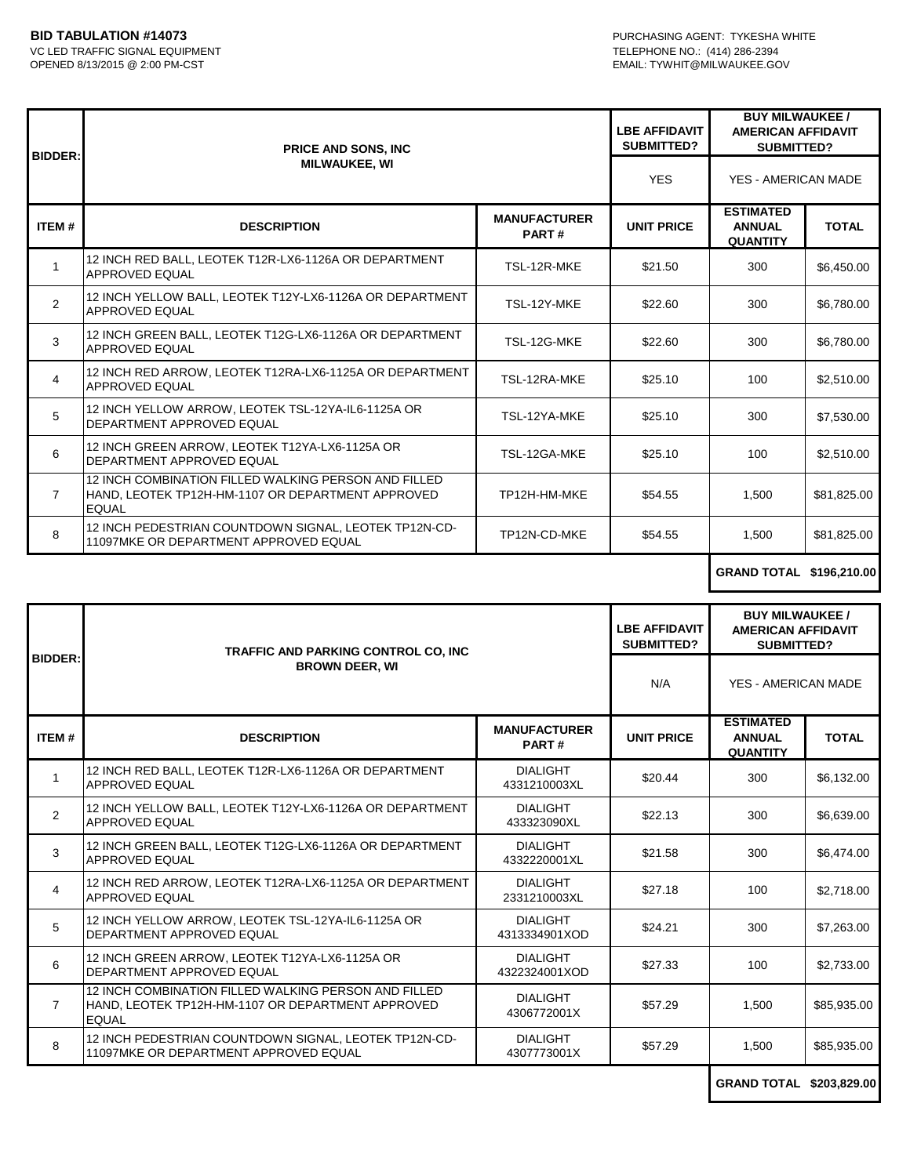| <b>BIDDER:</b> | <b>PRICE AND SONS, INC</b><br><b>MILWAUKEE, WI</b>                                                                        |                              | <b>LBE AFFIDAVIT</b><br><b>SUBMITTED?</b> | <b>BUY MILWAUKEE /</b><br><b>AMERICAN AFFIDAVIT</b><br><b>SUBMITTED?</b> |              |
|----------------|---------------------------------------------------------------------------------------------------------------------------|------------------------------|-------------------------------------------|--------------------------------------------------------------------------|--------------|
|                |                                                                                                                           |                              | <b>YES</b>                                | YES - AMERICAN MADE                                                      |              |
| <b>ITEM#</b>   | <b>DESCRIPTION</b>                                                                                                        | <b>MANUFACTURER</b><br>PART# | <b>UNIT PRICE</b>                         | <b>ESTIMATED</b><br><b>ANNUAL</b><br><b>QUANTITY</b>                     | <b>TOTAL</b> |
| 1              | 12 INCH RED BALL, LEOTEK T12R-LX6-1126A OR DEPARTMENT<br><b>APPROVED EQUAL</b>                                            | TSL-12R-MKE                  | \$21.50                                   | 300                                                                      | \$6,450.00   |
| $\overline{2}$ | 12 INCH YELLOW BALL, LEOTEK T12Y-LX6-1126A OR DEPARTMENT<br>APPROVED EQUAL                                                | TSL-12Y-MKE                  | \$22.60                                   | 300                                                                      | \$6,780.00   |
| 3              | 12 INCH GREEN BALL, LEOTEK T12G-LX6-1126A OR DEPARTMENT<br>APPROVED EQUAL                                                 | TSL-12G-MKE                  | \$22.60                                   | 300                                                                      | \$6,780.00   |
| 4              | 12 INCH RED ARROW, LEOTEK T12RA-LX6-1125A OR DEPARTMENT<br>APPROVED EQUAL                                                 | TSL-12RA-MKE                 | \$25.10                                   | 100                                                                      | \$2,510.00   |
| 5              | 12 INCH YELLOW ARROW, LEOTEK TSL-12YA-IL6-1125A OR<br>DEPARTMENT APPROVED EQUAL                                           | TSL-12YA-MKE                 | \$25.10                                   | 300                                                                      | \$7,530.00   |
| 6              | 12 INCH GREEN ARROW. LEOTEK T12YA-LX6-1125A OR<br>DEPARTMENT APPROVED EQUAL                                               | TSL-12GA-MKE                 | \$25.10                                   | 100                                                                      | \$2,510.00   |
| $\overline{7}$ | 12 INCH COMBINATION FILLED WALKING PERSON AND FILLED<br>HAND, LEOTEK TP12H-HM-1107 OR DEPARTMENT APPROVED<br><b>EQUAL</b> | TP12H-HM-MKE                 | \$54.55                                   | 1.500                                                                    | \$81,825.00  |
| 8              | 12 INCH PEDESTRIAN COUNTDOWN SIGNAL, LEOTEK TP12N-CD-<br>11097MKE OR DEPARTMENT APPROVED EQUAL                            | TP12N-CD-MKE                 | \$54.55                                   | 1,500                                                                    | \$81,825.00  |

## **GRAND TOTAL \$196,210.00**

|                | TRAFFIC AND PARKING CONTROL CO, INC<br><b>BROWN DEER, WI</b>                                                              |                                  | <b>LBE AFFIDAVIT</b><br><b>SUBMITTED?</b> | <b>BUY MILWAUKEE /</b><br><b>AMERICAN AFFIDAVIT</b><br><b>SUBMITTED?</b> |              |
|----------------|---------------------------------------------------------------------------------------------------------------------------|----------------------------------|-------------------------------------------|--------------------------------------------------------------------------|--------------|
| <b>BIDDER:</b> |                                                                                                                           |                                  | N/A                                       | YES - AMERICAN MADE                                                      |              |
| <b>ITEM#</b>   | <b>DESCRIPTION</b>                                                                                                        | <b>MANUFACTURER</b><br>PART#     | <b>UNIT PRICE</b>                         | <b>ESTIMATED</b><br><b>ANNUAL</b><br><b>QUANTITY</b>                     | <b>TOTAL</b> |
| 1              | 12 INCH RED BALL, LEOTEK T12R-LX6-1126A OR DEPARTMENT<br>APPROVED EQUAL                                                   | <b>DIALIGHT</b><br>4331210003XL  | \$20.44                                   | 300                                                                      | \$6,132.00   |
| 2              | 12 INCH YELLOW BALL, LEOTEK T12Y-LX6-1126A OR DEPARTMENT<br><b>APPROVED EQUAL</b>                                         | <b>DIALIGHT</b><br>433323090XL   | \$22.13                                   | 300                                                                      | \$6,639.00   |
| 3              | 12 INCH GREEN BALL, LEOTEK T12G-LX6-1126A OR DEPARTMENT<br><b>APPROVED EQUAL</b>                                          | <b>DIALIGHT</b><br>4332220001XL  | \$21.58                                   | 300                                                                      | \$6,474.00   |
| $\overline{4}$ | 12 INCH RED ARROW, LEOTEK T12RA-LX6-1125A OR DEPARTMENT<br><b>APPROVED EQUAL</b>                                          | <b>DIALIGHT</b><br>2331210003XL  | \$27.18                                   | 100                                                                      | \$2,718.00   |
| 5              | 12 INCH YELLOW ARROW, LEOTEK TSL-12YA-IL6-1125A OR<br>DEPARTMENT APPROVED EQUAL                                           | <b>DIALIGHT</b><br>4313334901XOD | \$24.21                                   | 300                                                                      | \$7,263.00   |
| 6              | 12 INCH GREEN ARROW, LEOTEK T12YA-LX6-1125A OR<br>DEPARTMENT APPROVED EQUAL                                               | <b>DIALIGHT</b><br>4322324001XOD | \$27.33                                   | 100                                                                      | \$2,733.00   |
| $\overline{7}$ | 12 INCH COMBINATION FILLED WALKING PERSON AND FILLED<br>HAND, LEOTEK TP12H-HM-1107 OR DEPARTMENT APPROVED<br><b>EQUAL</b> | <b>DIALIGHT</b><br>4306772001X   | \$57.29                                   | 1.500                                                                    | \$85.935.00  |
| 8              | 12 INCH PEDESTRIAN COUNTDOWN SIGNAL, LEOTEK TP12N-CD-<br>11097MKE OR DEPARTMENT APPROVED EQUAL                            | <b>DIALIGHT</b><br>4307773001X   | \$57.29                                   | 1,500                                                                    | \$85,935.00  |
|                |                                                                                                                           |                                  |                                           | GRAND TOTAL \$203,829.00                                                 |              |